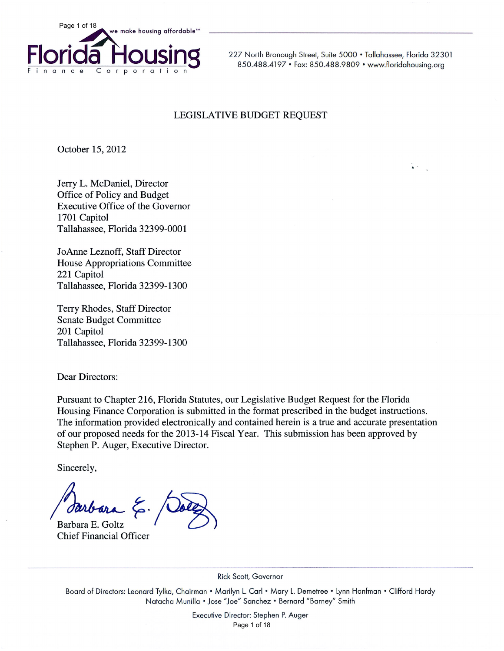

227 North Bronough Street, Suite 5000 · Tallahassee, Florida 32301 850.488.4197 • Fax: 850.488.9809 • www.floridahousing.org

#### LEGISLATIVE BUDGET REQUEST

October 15, 2012

Jerry L. McDaniel, Director Office of Policy and Budget Executive Office of the Governor 1701 Capitol Tallahassee, Florida 32399-0001

JoAnne Leznoff, Staff Director House Appropriations Committee 221 Capitol Tallahassee, Florida 32399-1300

Terry Rhodes, Staff Director **Senate Budget Committee** 201 Capitol Tallahassee, Florida 32399-1300

**Dear Directors:** 

Pursuant to Chapter 216, Florida Statutes, our Legislative Budget Request for the Florida Housing Finance Corporation is submitted in the format prescribed in the budget instructions. The information provided electronically and contained herein is a true and accurate presentation of our proposed needs for the 2013-14 Fiscal Year. This submission has been approved by Stephen P. Auger, Executive Director.

Sincerely,

Barbara E. Goltz **Chief Financial Officer** 

Rick Scott, Governor

Board of Directors: Leonard Tylka, Chairman • Marilyn L. Carl • Mary L. Demetree • Lynn Hanfman • Clifford Hardy Natacha Munilla . Jose "Joe" Sanchez . Bernard "Barney" Smith

> Executive Director: Stephen P. Auger Page 1 of 18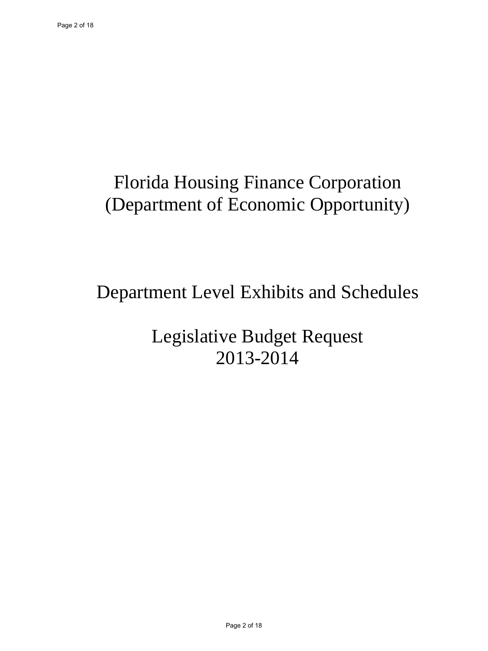## Florida Housing Finance Corporation (Department of Economic Opportunity)

## Department Level Exhibits and Schedules

Legislative Budget Request 2013-2014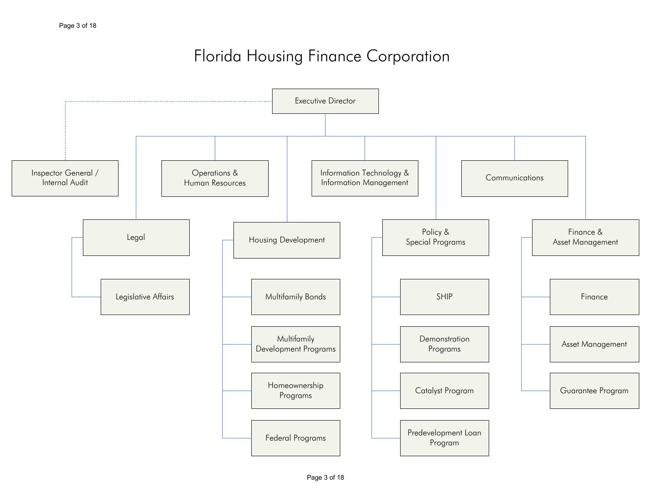### Florida Housing Finance Corporation

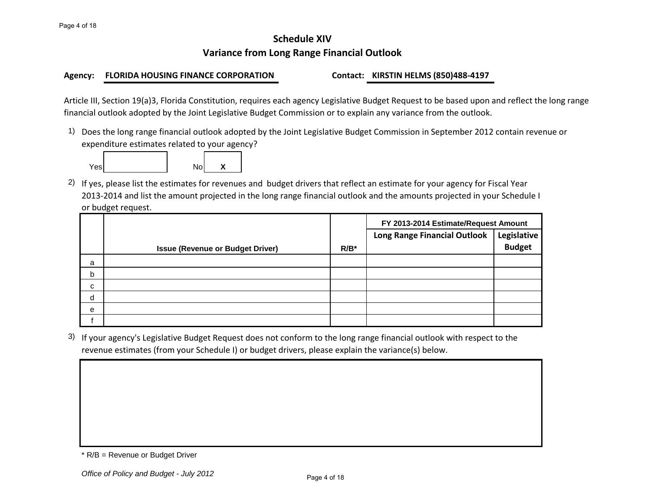#### **Schedule XIV Variance from Long Range Financial Outlook**

#### **Agency: FLORIDA HOUSING FINANCE CORPORATION Contact: KIRSTIN HELMS (850)488-4197**

Article III, Section 19(a)3, Florida Constitution, requires each agency Legislative Budget Request to be based upon and reflect the long range financial outlook adopted by the Joint Legislative Budget Commission or to explain any variance from the outlook.

1) Does the long range financial outlook adopted by the Joint Legislative Budget Commission in September 2012 contain revenue or expenditure estimates related to your agency?



2) If yes, please list the estimates for revenues and budget drivers that reflect an estimate for your agency for Fiscal Year 2013-2014 and list the amount projected in the long range financial outlook and the amounts projected in your Schedule I or budget request.

|   |                                         |         | FY 2013-2014 Estimate/Request Amount |               |  |  |
|---|-----------------------------------------|---------|--------------------------------------|---------------|--|--|
|   |                                         |         | <b>Long Range Financial Outlook</b>  | Legislative   |  |  |
|   | <b>Issue (Revenue or Budget Driver)</b> | $R/B^*$ |                                      | <b>Budget</b> |  |  |
| a |                                         |         |                                      |               |  |  |
| b |                                         |         |                                      |               |  |  |
| C |                                         |         |                                      |               |  |  |
| d |                                         |         |                                      |               |  |  |
| e |                                         |         |                                      |               |  |  |
|   |                                         |         |                                      |               |  |  |

3) If your agency's Legislative Budget Request does not conform to the long range financial outlook with respect to the revenue estimates (from your Schedule I) or budget drivers, please explain the variance(s) below.

<sup>\*</sup> R/B = Revenue or Budget Driver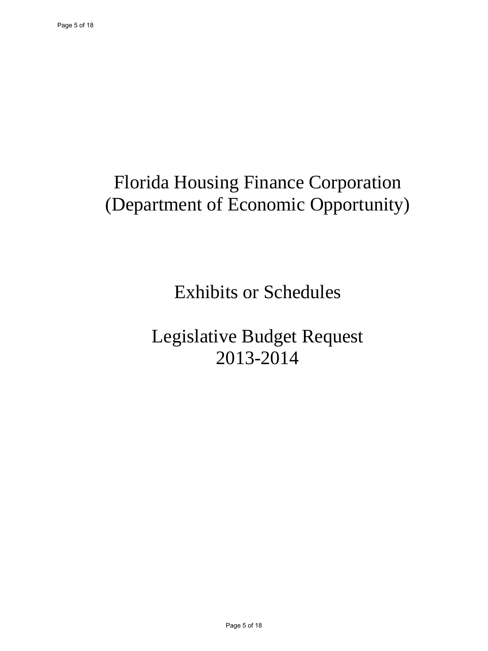# Florida Housing Finance Corporation (Department of Economic Opportunity)

Exhibits or Schedules

Legislative Budget Request 2013-2014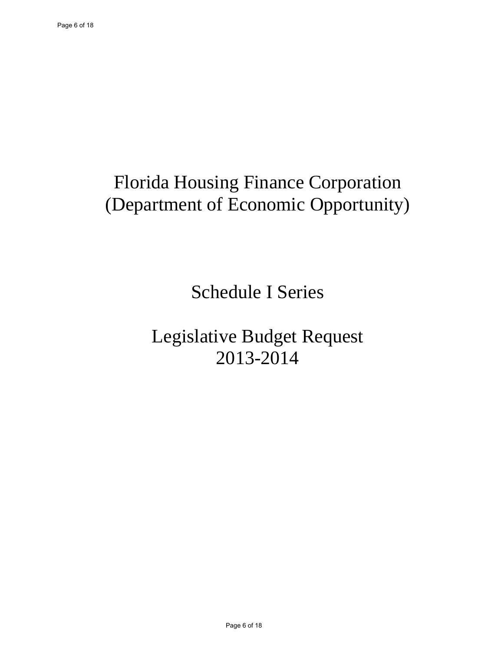# Florida Housing Finance Corporation (Department of Economic Opportunity)

Schedule I Series

Legislative Budget Request 2013-2014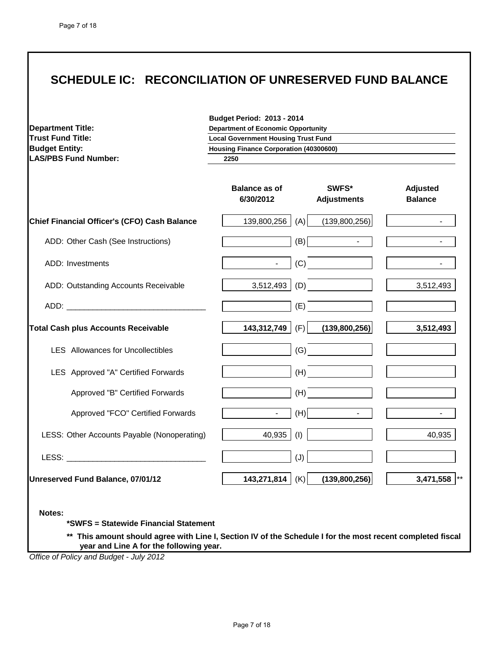### **SCHEDULE IC: RECONCILIATION OF UNRESERVED FUND BALANCE**

| <b>Department Title:</b>                     | <b>Budget Period: 2013 - 2014</b><br><b>Department of Economic Opportunity</b> |                             |                                   |
|----------------------------------------------|--------------------------------------------------------------------------------|-----------------------------|-----------------------------------|
| <b>Trust Fund Title:</b>                     | <b>Local Government Housing Trust Fund</b>                                     |                             |                                   |
| <b>Budget Entity:</b>                        | <b>Housing Finance Corporation (40300600)</b>                                  |                             |                                   |
| <b>LAS/PBS Fund Number:</b>                  | 2250                                                                           |                             |                                   |
|                                              | <b>Balance as of</b><br>6/30/2012                                              | SWFS*<br><b>Adjustments</b> | <b>Adjusted</b><br><b>Balance</b> |
| Chief Financial Officer's (CFO) Cash Balance | (A)<br>139,800,256                                                             | (139,800,256)               |                                   |
| ADD: Other Cash (See Instructions)           | (B)                                                                            | $\sim$                      | $\blacksquare$                    |
| ADD: Investments                             | $\blacksquare$                                                                 | (C)                         | $\blacksquare$                    |
| ADD: Outstanding Accounts Receivable         | (D)<br>3,512,493                                                               |                             | 3,512,493                         |
|                                              | (E)                                                                            |                             |                                   |
| <b>Total Cash plus Accounts Receivable</b>   | 143,312,749 $ $ (F)                                                            | (139,800,256)               | 3,512,493                         |
| <b>LES</b> Allowances for Uncollectibles     |                                                                                | (G)                         |                                   |
| LES Approved "A" Certified Forwards          |                                                                                | (H)                         |                                   |
| Approved "B" Certified Forwards              |                                                                                | (H)                         |                                   |
| Approved "FCO" Certified Forwards            |                                                                                | (H)                         |                                   |
| LESS: Other Accounts Payable (Nonoperating)  | 40,935<br>(1)                                                                  |                             | 40,935                            |
| LESS: <b>Example 2018</b>                    | (J)                                                                            |                             |                                   |
| Unreserved Fund Balance, 07/01/12            | 143,271,814 $ $ (K)                                                            | (139,800,256)               | 3,471,558 **                      |

**nt should agree with Line I, Section IV of the Schedule year and Line A for the following year.**

*Office of Policy and Budget - July 2012*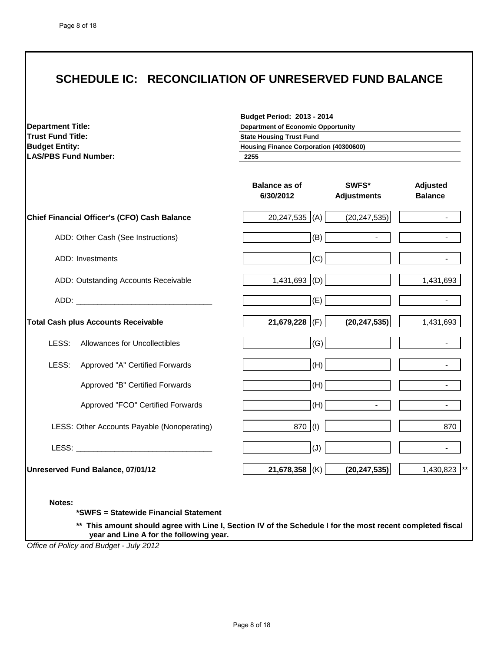#### **SCHEDULE IC: RECONCILIATION OF UNRESERVED FUND BALANCE**

| <b>Department Title:</b><br><b>Trust Fund Title:</b>                                                                                                                           | <b>Budget Period: 2013 - 2014</b><br><b>Department of Economic Opportunity</b><br><b>State Housing Trust Fund</b> |                             |                            |
|--------------------------------------------------------------------------------------------------------------------------------------------------------------------------------|-------------------------------------------------------------------------------------------------------------------|-----------------------------|----------------------------|
| <b>Budget Entity:</b>                                                                                                                                                          | <b>Housing Finance Corporation (40300600)</b>                                                                     |                             |                            |
| <b>LAS/PBS Fund Number:</b>                                                                                                                                                    | 2255                                                                                                              |                             |                            |
|                                                                                                                                                                                | <b>Balance as of</b><br>6/30/2012                                                                                 | SWFS*<br><b>Adjustments</b> | Adjusted<br><b>Balance</b> |
| Chief Financial Officer's (CFO) Cash Balance                                                                                                                                   | $20,247,535$ (A)                                                                                                  | (20, 247, 535)              |                            |
| ADD: Other Cash (See Instructions)                                                                                                                                             | (B)                                                                                                               |                             |                            |
| ADD: Investments                                                                                                                                                               | (C)                                                                                                               |                             |                            |
| ADD: Outstanding Accounts Receivable                                                                                                                                           | $1,431,693$ (D)                                                                                                   |                             | 1,431,693                  |
|                                                                                                                                                                                | (E)                                                                                                               |                             |                            |
| <b>Total Cash plus Accounts Receivable</b>                                                                                                                                     | 21,679,228<br>(F)                                                                                                 | (20, 247, 535)              | 1,431,693                  |
| LESS:<br><b>Allowances for Uncollectibles</b>                                                                                                                                  | (G)                                                                                                               |                             |                            |
| LESS:<br>Approved "A" Certified Forwards                                                                                                                                       | (H)                                                                                                               |                             |                            |
| Approved "B" Certified Forwards                                                                                                                                                | (H)                                                                                                               |                             |                            |
| Approved "FCO" Certified Forwards                                                                                                                                              | (H)                                                                                                               |                             |                            |
| LESS: Other Accounts Payable (Nonoperating)                                                                                                                                    | 870 (I)                                                                                                           |                             | 870                        |
| LESS: <b>LESS: LESS: LESS: LESS: LESS: LESS: LESS: LESS: LESS: LESS: LESS: LESS: LESS: LESS: LESS: LESS: LESS: LESS: LESS: LESS: LESS: LESS: LESS: LESS: LESS: LESS: LESS:</b> | (J)                                                                                                               |                             |                            |
| Unreserved Fund Balance, 07/01/12                                                                                                                                              | 21,678,358 (K)                                                                                                    | (20, 247, 535)              | 1,430,823                  |

**Notes:**

**\*SWFS = Statewide Financial Statement** 

**\*\* This amount should agree with Line I, Section IV of the Schedule I for the most recent completed fiscal year and Line A for the following year.**

*Office of Policy and Budget - July 2012*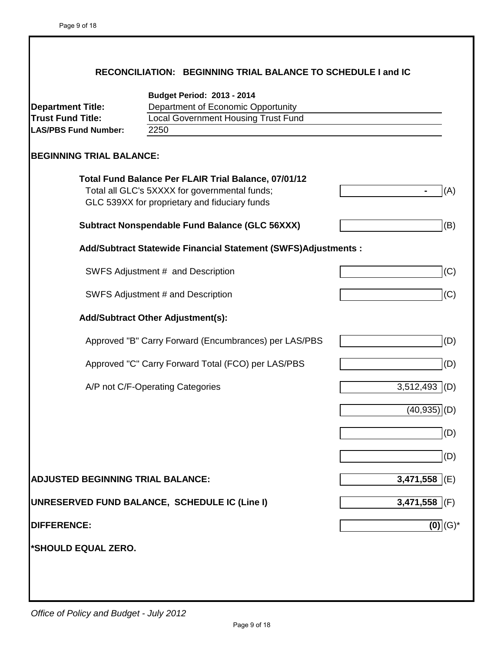|                                                                                     | RECONCILIATION: BEGINNING TRIAL BALANCE TO SCHEDULE I and IC                                                                                           |                   |
|-------------------------------------------------------------------------------------|--------------------------------------------------------------------------------------------------------------------------------------------------------|-------------------|
| <b>Department Title:</b><br><b>Trust Fund Title:</b><br><b>LAS/PBS Fund Number:</b> | <b>Budget Period: 2013 - 2014</b><br>Department of Economic Opportunity<br><b>Local Government Housing Trust Fund</b><br>2250                          |                   |
| <b>BEGINNING TRIAL BALANCE:</b>                                                     |                                                                                                                                                        |                   |
|                                                                                     | Total Fund Balance Per FLAIR Trial Balance, 07/01/12<br>Total all GLC's 5XXXX for governmental funds;<br>GLC 539XX for proprietary and fiduciary funds | (A)               |
|                                                                                     | <b>Subtract Nonspendable Fund Balance (GLC 56XXX)</b>                                                                                                  | (B)               |
|                                                                                     | Add/Subtract Statewide Financial Statement (SWFS)Adjustments :                                                                                         |                   |
|                                                                                     | SWFS Adjustment # and Description                                                                                                                      | (C)               |
|                                                                                     | SWFS Adjustment # and Description                                                                                                                      | (C)               |
|                                                                                     | <b>Add/Subtract Other Adjustment(s):</b>                                                                                                               |                   |
|                                                                                     | Approved "B" Carry Forward (Encumbrances) per LAS/PBS                                                                                                  | (D)               |
|                                                                                     | Approved "C" Carry Forward Total (FCO) per LAS/PBS                                                                                                     | (D)               |
|                                                                                     | A/P not C/F-Operating Categories                                                                                                                       | $3,512,493$ (D)   |
|                                                                                     |                                                                                                                                                        | (40, 935)         |
|                                                                                     |                                                                                                                                                        | (D)               |
|                                                                                     |                                                                                                                                                        | (D)               |
| <b>ADJUSTED BEGINNING TRIAL BALANCE:</b>                                            |                                                                                                                                                        | 3,471,558 $ E $   |
|                                                                                     | UNRESERVED FUND BALANCE, SCHEDULE IC (Line I)                                                                                                          | 3,471,558 $ $ (F) |
| <b>DIFFERENCE:</b>                                                                  |                                                                                                                                                        | $(0)$ $(G)^*$     |
| *SHOULD EQUAL ZERO.                                                                 |                                                                                                                                                        |                   |
|                                                                                     |                                                                                                                                                        |                   |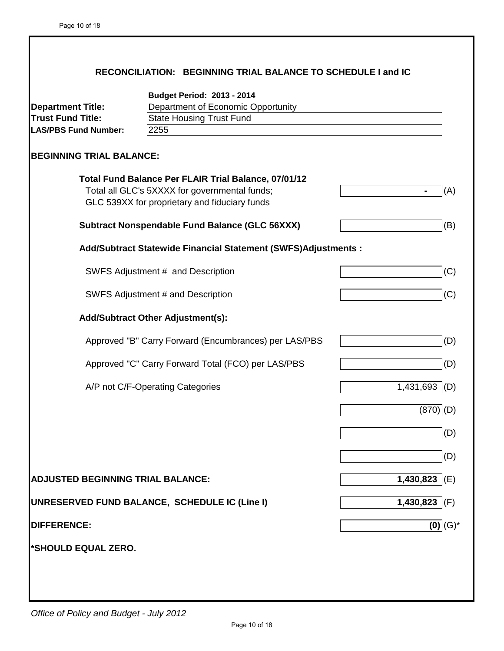|                                                                                     | RECONCILIATION: BEGINNING TRIAL BALANCE TO SCHEDULE I and IC                                                                                           |                   |
|-------------------------------------------------------------------------------------|--------------------------------------------------------------------------------------------------------------------------------------------------------|-------------------|
| <b>Department Title:</b><br><b>Trust Fund Title:</b><br><b>LAS/PBS Fund Number:</b> | <b>Budget Period: 2013 - 2014</b><br>Department of Economic Opportunity<br><b>State Housing Trust Fund</b><br>2255                                     |                   |
| <b>BEGINNING TRIAL BALANCE:</b>                                                     |                                                                                                                                                        |                   |
|                                                                                     | Total Fund Balance Per FLAIR Trial Balance, 07/01/12<br>Total all GLC's 5XXXX for governmental funds;<br>GLC 539XX for proprietary and fiduciary funds | (A)               |
|                                                                                     | <b>Subtract Nonspendable Fund Balance (GLC 56XXX)</b>                                                                                                  | (B)               |
|                                                                                     | Add/Subtract Statewide Financial Statement (SWFS)Adjustments :                                                                                         |                   |
|                                                                                     | SWFS Adjustment # and Description                                                                                                                      | (C)               |
|                                                                                     | SWFS Adjustment # and Description                                                                                                                      | (C)               |
|                                                                                     | <b>Add/Subtract Other Adjustment(s):</b>                                                                                                               |                   |
|                                                                                     | Approved "B" Carry Forward (Encumbrances) per LAS/PBS                                                                                                  | (D)               |
|                                                                                     | Approved "C" Carry Forward Total (FCO) per LAS/PBS                                                                                                     | (D)               |
|                                                                                     | A/P not C/F-Operating Categories                                                                                                                       | 1,431,693 (D)     |
|                                                                                     |                                                                                                                                                        | (870              |
|                                                                                     |                                                                                                                                                        | (D)               |
|                                                                                     |                                                                                                                                                        | (D)               |
| <b>ADJUSTED BEGINNING TRIAL BALANCE:</b>                                            |                                                                                                                                                        | 1,430,823 $ E $   |
|                                                                                     | UNRESERVED FUND BALANCE, SCHEDULE IC (Line I)                                                                                                          | 1,430,823 $ $ (F) |
| <b>DIFFERENCE:</b>                                                                  |                                                                                                                                                        | $(0)$ $(G)^*$     |
| *SHOULD EQUAL ZERO.                                                                 |                                                                                                                                                        |                   |
|                                                                                     |                                                                                                                                                        |                   |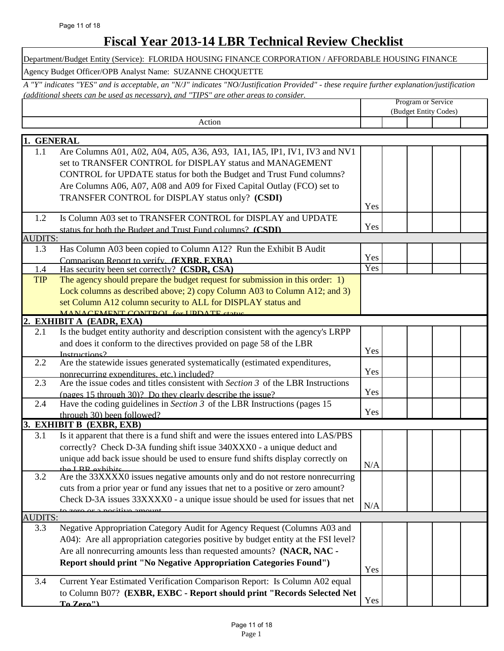### **Fiscal Year 2013-14 LBR Technical Review Checklist**

|                       | Department/Budget Entity (Service): FLORIDA HOUSING FINANCE CORPORATION / AFFORDABLE HOUSING FINANCE                                                                                                                               |     |                    |                       |  |
|-----------------------|------------------------------------------------------------------------------------------------------------------------------------------------------------------------------------------------------------------------------------|-----|--------------------|-----------------------|--|
|                       | Agency Budget Officer/OPB Analyst Name: SUZANNE CHOQUETTE                                                                                                                                                                          |     |                    |                       |  |
|                       | A "Y" indicates "YES" and is acceptable, an "N/J" indicates "NO/Justification Provided" - these require further explanation/justification<br>(additional sheets can be used as necessary), and "TIPS" are other areas to consider. |     |                    |                       |  |
|                       |                                                                                                                                                                                                                                    |     | Program or Service |                       |  |
|                       | Action                                                                                                                                                                                                                             |     |                    | (Budget Entity Codes) |  |
|                       |                                                                                                                                                                                                                                    |     |                    |                       |  |
| 1. GENERAL            |                                                                                                                                                                                                                                    |     |                    |                       |  |
| 1.1                   | Are Columns A01, A02, A04, A05, A36, A93, IA1, IA5, IP1, IV1, IV3 and NV1                                                                                                                                                          |     |                    |                       |  |
|                       | set to TRANSFER CONTROL for DISPLAY status and MANAGEMENT                                                                                                                                                                          |     |                    |                       |  |
|                       | CONTROL for UPDATE status for both the Budget and Trust Fund columns?                                                                                                                                                              |     |                    |                       |  |
|                       | Are Columns A06, A07, A08 and A09 for Fixed Capital Outlay (FCO) set to<br>TRANSFER CONTROL for DISPLAY status only? (CSDI)                                                                                                        |     |                    |                       |  |
|                       |                                                                                                                                                                                                                                    | Yes |                    |                       |  |
| 1.2                   | Is Column A03 set to TRANSFER CONTROL for DISPLAY and UPDATE                                                                                                                                                                       |     |                    |                       |  |
|                       | status for both the Budget and Trust Fund columns? (CSDI)                                                                                                                                                                          | Yes |                    |                       |  |
| <b>AUDITS:</b>        |                                                                                                                                                                                                                                    |     |                    |                       |  |
| 1.3                   | Has Column A03 been copied to Column A12? Run the Exhibit B Audit                                                                                                                                                                  | Yes |                    |                       |  |
| 1.4                   | Comparison Report to verify. (EXBR, EXBA)<br>Has security been set correctly? (CSDR, CSA)                                                                                                                                          | Yes |                    |                       |  |
| <b>TIP</b>            | The agency should prepare the budget request for submission in this order: 1)                                                                                                                                                      |     |                    |                       |  |
|                       | Lock columns as described above; 2) copy Column A03 to Column A12; and 3)                                                                                                                                                          |     |                    |                       |  |
|                       | set Column A12 column security to ALL for DISPLAY status and                                                                                                                                                                       |     |                    |                       |  |
|                       | MANACEMENT CONTROL for LIDDATE status                                                                                                                                                                                              |     |                    |                       |  |
| $\overline{2}$<br>2.1 | <b>EXHIBIT A (EADR, EXA)</b><br>Is the budget entity authority and description consistent with the agency's LRPP                                                                                                                   |     |                    |                       |  |
|                       | and does it conform to the directives provided on page 58 of the LBR                                                                                                                                                               |     |                    |                       |  |
|                       | Instructions?                                                                                                                                                                                                                      | Yes |                    |                       |  |
| 2.2                   | Are the statewide issues generated systematically (estimated expenditures,                                                                                                                                                         |     |                    |                       |  |
|                       | nonrecurring expenditures, etc.) included?                                                                                                                                                                                         | Yes |                    |                       |  |
| 2.3                   | Are the issue codes and titles consistent with Section 3 of the LBR Instructions                                                                                                                                                   | Yes |                    |                       |  |
| 2.4                   | (pages 15 through 30)? Do they clearly describe the issue?<br>Have the coding guidelines in Section $3$ of the LBR Instructions (pages 15                                                                                          |     |                    |                       |  |
|                       | through 30) been followed?                                                                                                                                                                                                         | Yes |                    |                       |  |
|                       | 3. EXHIBIT B (EXBR, EXB)                                                                                                                                                                                                           |     |                    |                       |  |
| 3.1                   | Is it apparent that there is a fund shift and were the issues entered into LAS/PBS                                                                                                                                                 |     |                    |                       |  |
|                       | correctly? Check D-3A funding shift issue 340XXX0 - a unique deduct and                                                                                                                                                            |     |                    |                       |  |
|                       | unique add back issue should be used to ensure fund shifts display correctly on<br>the I RD exhibits                                                                                                                               | N/A |                    |                       |  |
| 3.2                   | Are the 33XXXX0 issues negative amounts only and do not restore nonrecurring                                                                                                                                                       |     |                    |                       |  |
|                       | cuts from a prior year or fund any issues that net to a positive or zero amount?                                                                                                                                                   |     |                    |                       |  |
|                       | Check D-3A issues 33XXXX0 - a unique issue should be used for issues that net                                                                                                                                                      |     |                    |                       |  |
| <b>AUDITS:</b>        | to zero or a positive amount                                                                                                                                                                                                       | N/A |                    |                       |  |
| 3.3                   | Negative Appropriation Category Audit for Agency Request (Columns A03 and                                                                                                                                                          |     |                    |                       |  |
|                       | A04): Are all appropriation categories positive by budget entity at the FSI level?                                                                                                                                                 |     |                    |                       |  |
|                       | Are all nonrecurring amounts less than requested amounts? (NACR, NAC -                                                                                                                                                             |     |                    |                       |  |
|                       | Report should print "No Negative Appropriation Categories Found")                                                                                                                                                                  |     |                    |                       |  |
|                       |                                                                                                                                                                                                                                    | Yes |                    |                       |  |
| 3.4                   | Current Year Estimated Verification Comparison Report: Is Column A02 equal                                                                                                                                                         |     |                    |                       |  |
|                       | to Column B07? (EXBR, EXBC - Report should print "Records Selected Net                                                                                                                                                             | Yes |                    |                       |  |
|                       | To Zero")                                                                                                                                                                                                                          |     |                    |                       |  |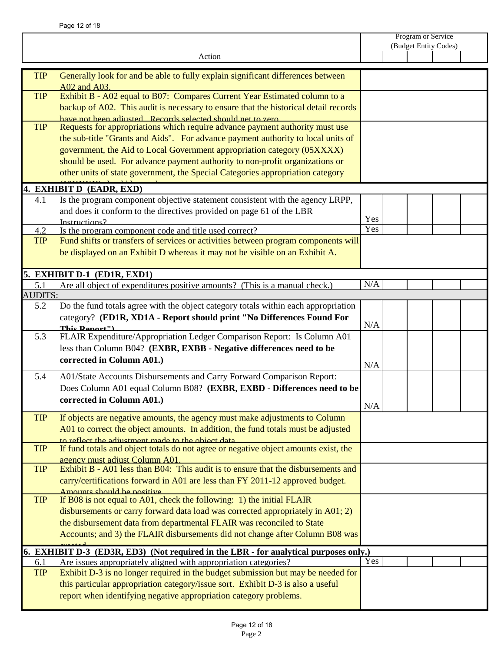|                |                                                                                                                                                                                                                                                                                                                                                                                                               |     | Program or Service<br>(Budget Entity Codes) |  |  |  |
|----------------|---------------------------------------------------------------------------------------------------------------------------------------------------------------------------------------------------------------------------------------------------------------------------------------------------------------------------------------------------------------------------------------------------------------|-----|---------------------------------------------|--|--|--|
|                |                                                                                                                                                                                                                                                                                                                                                                                                               |     |                                             |  |  |  |
|                | Action                                                                                                                                                                                                                                                                                                                                                                                                        |     |                                             |  |  |  |
| <b>TIP</b>     | Generally look for and be able to fully explain significant differences between<br>A02 and A03.                                                                                                                                                                                                                                                                                                               |     |                                             |  |  |  |
| <b>TIP</b>     | Exhibit B - A02 equal to B07: Compares Current Year Estimated column to a<br>backup of A02. This audit is necessary to ensure that the historical detail records<br>have not been adjusted. Records selected should net to zero.                                                                                                                                                                              |     |                                             |  |  |  |
| <b>TIP</b>     | Requests for appropriations which require advance payment authority must use<br>the sub-title "Grants and Aids". For advance payment authority to local units of<br>government, the Aid to Local Government appropriation category (05XXXX)<br>should be used. For advance payment authority to non-profit organizations or<br>other units of state government, the Special Categories appropriation category |     |                                             |  |  |  |
|                | 4. EXHIBIT D (EADR, EXD)                                                                                                                                                                                                                                                                                                                                                                                      |     |                                             |  |  |  |
| 4.1            | Is the program component objective statement consistent with the agency LRPP,<br>and does it conform to the directives provided on page 61 of the LBR<br>Instructions?                                                                                                                                                                                                                                        | Yes |                                             |  |  |  |
| 4.2            | Is the program component code and title used correct?                                                                                                                                                                                                                                                                                                                                                         | Yes |                                             |  |  |  |
| TIP            | Fund shifts or transfers of services or activities between program components will<br>be displayed on an Exhibit D whereas it may not be visible on an Exhibit A.                                                                                                                                                                                                                                             |     |                                             |  |  |  |
|                | 5. EXHIBIT D-1 (ED1R, EXD1)                                                                                                                                                                                                                                                                                                                                                                                   |     |                                             |  |  |  |
| 5.1            | Are all object of expenditures positive amounts? (This is a manual check.)                                                                                                                                                                                                                                                                                                                                    | N/A |                                             |  |  |  |
| <b>AUDITS:</b> |                                                                                                                                                                                                                                                                                                                                                                                                               |     |                                             |  |  |  |
| 5.2            | Do the fund totals agree with the object category totals within each appropriation<br>category? (ED1R, XD1A - Report should print "No Differences Found For<br>This Report")                                                                                                                                                                                                                                  | N/A |                                             |  |  |  |
| 5.3            | FLAIR Expenditure/Appropriation Ledger Comparison Report: Is Column A01<br>less than Column B04? (EXBR, EXBB - Negative differences need to be<br>corrected in Column A01.)                                                                                                                                                                                                                                   | N/A |                                             |  |  |  |
| 5.4            | A01/State Accounts Disbursements and Carry Forward Comparison Report:<br>Does Column A01 equal Column B08? (EXBR, EXBD - Differences need to be<br>corrected in Column A01.)                                                                                                                                                                                                                                  | N/A |                                             |  |  |  |
| <b>TIP</b>     | If objects are negative amounts, the agency must make adjustments to Column<br>A01 to correct the object amounts. In addition, the fund totals must be adjusted<br>to reflect the adjustment made to the object data                                                                                                                                                                                          |     |                                             |  |  |  |
| <b>TIP</b>     | If fund totals and object totals do not agree or negative object amounts exist, the<br>agency must adjust Column A01.                                                                                                                                                                                                                                                                                         |     |                                             |  |  |  |
| <b>TIP</b>     | Exhibit B - A01 less than B04: This audit is to ensure that the disbursements and<br>carry/certifications forward in A01 are less than FY 2011-12 approved budget.<br>Amounts should be positive                                                                                                                                                                                                              |     |                                             |  |  |  |
| <b>TIP</b>     | If B08 is not equal to A01, check the following: 1) the initial FLAIR<br>disbursements or carry forward data load was corrected appropriately in A01; 2)<br>the disbursement data from departmental FLAIR was reconciled to State<br>Accounts; and 3) the FLAIR disbursements did not change after Column B08 was                                                                                             |     |                                             |  |  |  |
|                | 6. EXHIBIT D-3 (ED3R, ED3) (Not required in the LBR - for analytical purposes only.)                                                                                                                                                                                                                                                                                                                          |     |                                             |  |  |  |
| 6.1            | Are issues appropriately aligned with appropriation categories?                                                                                                                                                                                                                                                                                                                                               | Yes |                                             |  |  |  |
| <b>TIP</b>     | Exhibit D-3 is no longer required in the budget submission but may be needed for<br>this particular appropriation category/issue sort. Exhibit D-3 is also a useful<br>report when identifying negative appropriation category problems.                                                                                                                                                                      |     |                                             |  |  |  |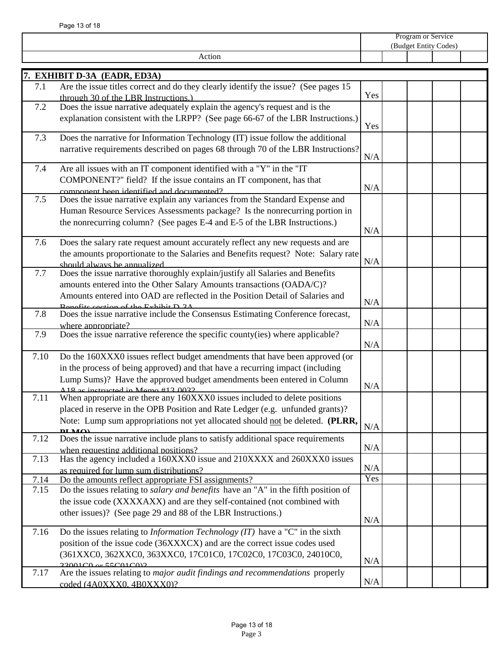|      |                                                                                                                                                             | Program or Service<br>(Budget Entity Codes) |  |  |  |  |
|------|-------------------------------------------------------------------------------------------------------------------------------------------------------------|---------------------------------------------|--|--|--|--|
|      | Action                                                                                                                                                      |                                             |  |  |  |  |
|      |                                                                                                                                                             |                                             |  |  |  |  |
| 7.1  | 7. EXHIBIT D-3A (EADR, ED3A)<br>Are the issue titles correct and do they clearly identify the issue? (See pages 15                                          |                                             |  |  |  |  |
|      | through 30 of the LBR Instructions.)                                                                                                                        | Yes                                         |  |  |  |  |
| 7.2  | Does the issue narrative adequately explain the agency's request and is the                                                                                 |                                             |  |  |  |  |
|      | explanation consistent with the LRPP? (See page 66-67 of the LBR Instructions.)                                                                             |                                             |  |  |  |  |
|      |                                                                                                                                                             | Yes                                         |  |  |  |  |
| 7.3  | Does the narrative for Information Technology (IT) issue follow the additional                                                                              |                                             |  |  |  |  |
|      | narrative requirements described on pages 68 through 70 of the LBR Instructions?                                                                            | N/A                                         |  |  |  |  |
| 7.4  | Are all issues with an IT component identified with a "Y" in the "IT                                                                                        |                                             |  |  |  |  |
|      | COMPONENT?" field? If the issue contains an IT component, has that                                                                                          |                                             |  |  |  |  |
|      | component been identified and documented?                                                                                                                   | N/A                                         |  |  |  |  |
| 7.5  | Does the issue narrative explain any variances from the Standard Expense and                                                                                |                                             |  |  |  |  |
|      | Human Resource Services Assessments package? Is the nonrecurring portion in                                                                                 |                                             |  |  |  |  |
|      | the nonrecurring column? (See pages E-4 and E-5 of the LBR Instructions.)                                                                                   |                                             |  |  |  |  |
|      |                                                                                                                                                             | N/A                                         |  |  |  |  |
| 7.6  | Does the salary rate request amount accurately reflect any new requests and are                                                                             |                                             |  |  |  |  |
|      | the amounts proportionate to the Salaries and Benefits request? Note: Salary rate<br>should always be annualized                                            | N/A                                         |  |  |  |  |
| 7.7  | Does the issue narrative thoroughly explain/justify all Salaries and Benefits                                                                               |                                             |  |  |  |  |
|      | amounts entered into the Other Salary Amounts transactions (OADA/C)?                                                                                        |                                             |  |  |  |  |
|      | Amounts entered into OAD are reflected in the Position Detail of Salaries and                                                                               |                                             |  |  |  |  |
|      | Repetite section of the Exhibit D 3A                                                                                                                        | N/A                                         |  |  |  |  |
| 7.8  | Does the issue narrative include the Consensus Estimating Conference forecast,                                                                              | N/A                                         |  |  |  |  |
| 7.9  | where appropriate?<br>Does the issue narrative reference the specific county(ies) where applicable?                                                         |                                             |  |  |  |  |
|      |                                                                                                                                                             | N/A                                         |  |  |  |  |
| 7.10 | Do the 160XXX0 issues reflect budget amendments that have been approved (or                                                                                 |                                             |  |  |  |  |
|      | in the process of being approved) and that have a recurring impact (including                                                                               |                                             |  |  |  |  |
|      | Lump Sums)? Have the approved budget amendments been entered in Column                                                                                      |                                             |  |  |  |  |
|      | A 18 ac instructed in Mamo #12 0022                                                                                                                         | N/A                                         |  |  |  |  |
| 7.11 | When appropriate are there any 160XXX0 issues included to delete positions<br>placed in reserve in the OPB Position and Rate Ledger (e.g. unfunded grants)? |                                             |  |  |  |  |
|      | Note: Lump sum appropriations not yet allocated should not be deleted. (PLRR,                                                                               |                                             |  |  |  |  |
|      | $\mathbf{D}$ $\mathbf{I}$ $\mathbf{M}$ $\mathbf{\Omega}$                                                                                                    | N/A                                         |  |  |  |  |
| 7.12 | Does the issue narrative include plans to satisfy additional space requirements                                                                             |                                             |  |  |  |  |
|      | when requesting additional positions?                                                                                                                       | N/A                                         |  |  |  |  |
| 7.13 | Has the agency included a 160XXX0 issue and 210XXXX and 260XXX0 issues                                                                                      | N/A                                         |  |  |  |  |
| 7.14 | as required for lump sum distributions?<br>Do the amounts reflect appropriate FSI assignments?                                                              | Yes                                         |  |  |  |  |
| 7.15 | Do the issues relating to salary and benefits have an "A" in the fifth position of                                                                          |                                             |  |  |  |  |
|      | the issue code (XXXXAXX) and are they self-contained (not combined with                                                                                     |                                             |  |  |  |  |
|      | other issues)? (See page 29 and 88 of the LBR Instructions.)                                                                                                |                                             |  |  |  |  |
|      |                                                                                                                                                             | N/A                                         |  |  |  |  |
| 7.16 | Do the issues relating to <i>Information Technology (IT)</i> have a "C" in the sixth                                                                        |                                             |  |  |  |  |
|      | position of the issue code (36XXXCX) and are the correct issue codes used                                                                                   |                                             |  |  |  |  |
|      | (361XXC0, 362XXC0, 363XXC0, 17C01C0, 17C02C0, 17C03C0, 24010C0,<br>$33001C0 \text{ or } 55C01C02$                                                           | N/A                                         |  |  |  |  |
| 7.17 | Are the issues relating to major audit findings and recommendations properly                                                                                |                                             |  |  |  |  |
|      | coded (4A0XXX0, 4B0XXX0)?                                                                                                                                   | N/A                                         |  |  |  |  |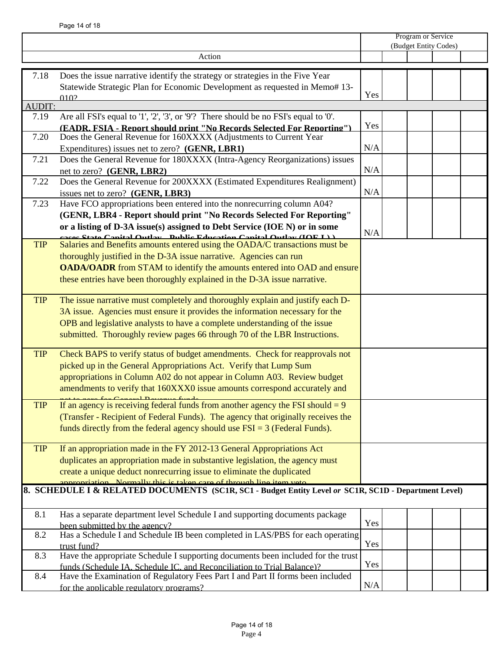|               |                                                                                                                                                                  |     | Program or Service    |  |  |  |
|---------------|------------------------------------------------------------------------------------------------------------------------------------------------------------------|-----|-----------------------|--|--|--|
|               |                                                                                                                                                                  |     | (Budget Entity Codes) |  |  |  |
|               | Action                                                                                                                                                           |     |                       |  |  |  |
| 7.18          | Does the issue narrative identify the strategy or strategies in the Five Year                                                                                    |     |                       |  |  |  |
|               | Statewide Strategic Plan for Economic Development as requested in Memo# 13-                                                                                      |     |                       |  |  |  |
|               | 010?                                                                                                                                                             | Yes |                       |  |  |  |
| <b>AUDIT:</b> |                                                                                                                                                                  |     |                       |  |  |  |
| 7.19          | Are all FSI's equal to '1', '2', '3', or '9'? There should be no FSI's equal to '0'.                                                                             |     |                       |  |  |  |
|               | (EADR. FSIA - Report should print "No Records Selected For Reporting")                                                                                           | Yes |                       |  |  |  |
| 7.20          | Does the General Revenue for 160XXXX (Adjustments to Current Year                                                                                                |     |                       |  |  |  |
|               | Expenditures) issues net to zero? (GENR, LBR1)                                                                                                                   | N/A |                       |  |  |  |
| 7.21          | Does the General Revenue for 180XXXX (Intra-Agency Reorganizations) issues                                                                                       |     |                       |  |  |  |
|               | net to zero? (GENR, LBR2)                                                                                                                                        | N/A |                       |  |  |  |
| 7.22          | Does the General Revenue for 200XXXX (Estimated Expenditures Realignment)                                                                                        |     |                       |  |  |  |
|               | issues net to zero? (GENR, LBR3)                                                                                                                                 | N/A |                       |  |  |  |
| 7.23          | Have FCO appropriations been entered into the nonrecurring column A04?                                                                                           |     |                       |  |  |  |
|               | (GENR, LBR4 - Report should print "No Records Selected For Reporting"                                                                                            |     |                       |  |  |  |
|               | or a listing of D-3A issue(s) assigned to Debt Service (IOE N) or in some                                                                                        | N/A |                       |  |  |  |
| <b>TIP</b>    | agege State Capital Autley - Dublic Education Capital Autley (IAE I))<br>Salaries and Benefits amounts entered using the OADA/C transactions must be             |     |                       |  |  |  |
|               | thoroughly justified in the D-3A issue narrative. Agencies can run                                                                                               |     |                       |  |  |  |
|               | <b>OADA/OADR</b> from STAM to identify the amounts entered into OAD and ensure                                                                                   |     |                       |  |  |  |
|               | these entries have been thoroughly explained in the D-3A issue narrative.                                                                                        |     |                       |  |  |  |
|               |                                                                                                                                                                  |     |                       |  |  |  |
| <b>TIP</b>    | The issue narrative must completely and thoroughly explain and justify each D-                                                                                   |     |                       |  |  |  |
|               | 3A issue. Agencies must ensure it provides the information necessary for the                                                                                     |     |                       |  |  |  |
|               | OPB and legislative analysts to have a complete understanding of the issue                                                                                       |     |                       |  |  |  |
|               | submitted. Thoroughly review pages 66 through 70 of the LBR Instructions.                                                                                        |     |                       |  |  |  |
|               |                                                                                                                                                                  |     |                       |  |  |  |
| <b>TIP</b>    | Check BAPS to verify status of budget amendments. Check for reapprovals not                                                                                      |     |                       |  |  |  |
|               | picked up in the General Appropriations Act. Verify that Lump Sum                                                                                                |     |                       |  |  |  |
|               | appropriations in Column A02 do not appear in Column A03. Review budget                                                                                          |     |                       |  |  |  |
|               | amendments to verify that 160XXX0 issue amounts correspond accurately and                                                                                        |     |                       |  |  |  |
| <b>TIP</b>    | <u>novo Lov Comovol Domonuo Lundo —</u><br>If an agency is receiving federal funds from another agency the FSI should $= 9$                                      |     |                       |  |  |  |
|               |                                                                                                                                                                  |     |                       |  |  |  |
|               | (Transfer - Recipient of Federal Funds). The agency that originally receives the<br>funds directly from the federal agency should use $FSI = 3$ (Federal Funds). |     |                       |  |  |  |
|               |                                                                                                                                                                  |     |                       |  |  |  |
| <b>TIP</b>    | If an appropriation made in the FY 2012-13 General Appropriations Act                                                                                            |     |                       |  |  |  |
|               | duplicates an appropriation made in substantive legislation, the agency must                                                                                     |     |                       |  |  |  |
|               | create a unique deduct nonrecurring issue to eliminate the duplicated                                                                                            |     |                       |  |  |  |
|               | ristian. Normally this is taken care of through line item yets                                                                                                   |     |                       |  |  |  |
|               | 8. SCHEDULE I & RELATED DOCUMENTS (SC1R, SC1 - Budget Entity Level or SC1R, SC1D - Department Level)                                                             |     |                       |  |  |  |
|               |                                                                                                                                                                  |     |                       |  |  |  |
| 8.1           | Has a separate department level Schedule I and supporting documents package                                                                                      |     |                       |  |  |  |
|               | been submitted by the agency?                                                                                                                                    | Yes |                       |  |  |  |
| 8.2           | Has a Schedule I and Schedule IB been completed in LAS/PBS for each operating                                                                                    |     |                       |  |  |  |
|               | trust fund?                                                                                                                                                      | Yes |                       |  |  |  |
| 8.3           | Have the appropriate Schedule I supporting documents been included for the trust                                                                                 | Yes |                       |  |  |  |
|               | funds (Schedule IA, Schedule IC, and Reconciliation to Trial Balance)?                                                                                           |     |                       |  |  |  |
| 8.4           | Have the Examination of Regulatory Fees Part I and Part II forms been included                                                                                   | N/A |                       |  |  |  |
|               | for the applicable regulatory programs?                                                                                                                          |     |                       |  |  |  |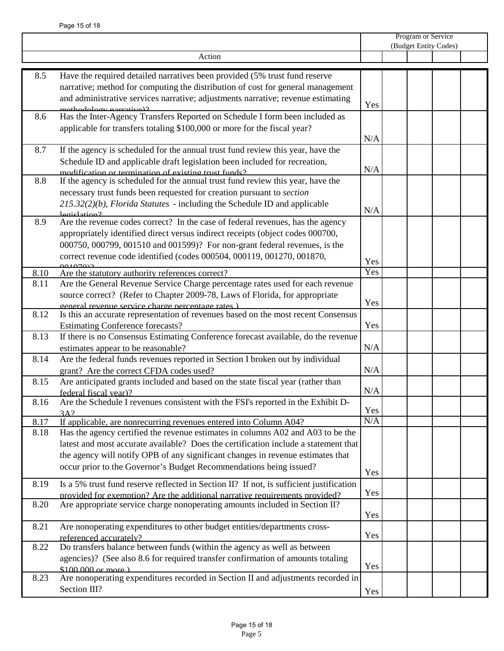|      |                                                                                                         | Program or Service    |  |  |  |  |
|------|---------------------------------------------------------------------------------------------------------|-----------------------|--|--|--|--|
|      |                                                                                                         | (Budget Entity Codes) |  |  |  |  |
|      | Action                                                                                                  |                       |  |  |  |  |
|      |                                                                                                         |                       |  |  |  |  |
| 8.5  | Have the required detailed narratives been provided (5% trust fund reserve                              |                       |  |  |  |  |
|      | narrative; method for computing the distribution of cost for general management                         |                       |  |  |  |  |
|      | and administrative services narrative; adjustments narrative; revenue estimating                        | Yes                   |  |  |  |  |
| 8.6  | methodology nerretive)?<br>Has the Inter-Agency Transfers Reported on Schedule I form been included as  |                       |  |  |  |  |
|      | applicable for transfers totaling \$100,000 or more for the fiscal year?                                |                       |  |  |  |  |
|      |                                                                                                         | N/A                   |  |  |  |  |
|      |                                                                                                         |                       |  |  |  |  |
| 8.7  | If the agency is scheduled for the annual trust fund review this year, have the                         |                       |  |  |  |  |
|      | Schedule ID and applicable draft legislation been included for recreation,                              | N/A                   |  |  |  |  |
|      | modification or termination of existing trust funds?                                                    |                       |  |  |  |  |
| 8.8  | If the agency is scheduled for the annual trust fund review this year, have the                         |                       |  |  |  |  |
|      | necessary trust funds been requested for creation pursuant to section                                   |                       |  |  |  |  |
|      | 215.32(2)(b), Florida Statutes - including the Schedule ID and applicable                               | N/A                   |  |  |  |  |
| 8.9  | legislation?<br>Are the revenue codes correct? In the case of federal revenues, has the agency          |                       |  |  |  |  |
|      | appropriately identified direct versus indirect receipts (object codes 000700,                          |                       |  |  |  |  |
|      |                                                                                                         |                       |  |  |  |  |
|      | 000750, 000799, 001510 and 001599)? For non-grant federal revenues, is the                              |                       |  |  |  |  |
|      | correct revenue code identified (codes 000504, 000119, 001270, 001870,                                  | Yes                   |  |  |  |  |
| 8.10 | Are the statutory authority references correct?                                                         | Yes                   |  |  |  |  |
| 8.11 | Are the General Revenue Service Charge percentage rates used for each revenue                           |                       |  |  |  |  |
|      | source correct? (Refer to Chapter 2009-78, Laws of Florida, for appropriate                             |                       |  |  |  |  |
|      | general revenue service charge percentage rates)                                                        | Yes                   |  |  |  |  |
| 8.12 | Is this an accurate representation of revenues based on the most recent Consensus                       |                       |  |  |  |  |
|      | <b>Estimating Conference forecasts?</b>                                                                 | Yes                   |  |  |  |  |
| 8.13 | If there is no Consensus Estimating Conference forecast available, do the revenue                       |                       |  |  |  |  |
|      | estimates appear to be reasonable?                                                                      | N/A                   |  |  |  |  |
| 8.14 | Are the federal funds revenues reported in Section I broken out by individual                           |                       |  |  |  |  |
|      | grant? Are the correct CFDA codes used?                                                                 | N/A                   |  |  |  |  |
| 8.15 | Are anticipated grants included and based on the state fiscal year (rather than                         |                       |  |  |  |  |
|      | federal fiscal year)?                                                                                   | N/A                   |  |  |  |  |
|      | 8.16 Are the Schedule I revenues consistent with the FSI's reported in the Exhibit D-                   |                       |  |  |  |  |
|      | 3A2                                                                                                     | Yes                   |  |  |  |  |
| 8.17 | If applicable, are nonrecurring revenues entered into Column A04?                                       | N/A                   |  |  |  |  |
| 8.18 | Has the agency certified the revenue estimates in columns $A02$ and $\overline{A03}$ to be the          |                       |  |  |  |  |
|      | latest and most accurate available? Does the certification include a statement that                     |                       |  |  |  |  |
|      | the agency will notify OPB of any significant changes in revenue estimates that                         |                       |  |  |  |  |
|      | occur prior to the Governor's Budget Recommendations being issued?                                      |                       |  |  |  |  |
|      |                                                                                                         | Yes                   |  |  |  |  |
| 8.19 | Is a 5% trust fund reserve reflected in Section II? If not, is sufficient justification                 |                       |  |  |  |  |
|      | provided for exemption? Are the additional narrative requirements provided?                             | Yes                   |  |  |  |  |
| 8.20 | Are appropriate service charge nonoperating amounts included in Section II?                             |                       |  |  |  |  |
|      |                                                                                                         | Yes                   |  |  |  |  |
| 8.21 | Are nonoperating expenditures to other budget entities/departments cross-                               |                       |  |  |  |  |
|      | referenced accurately?                                                                                  | Yes                   |  |  |  |  |
| 8.22 | Do transfers balance between funds (within the agency as well as between                                |                       |  |  |  |  |
|      | agencies)? (See also 8.6 for required transfer confirmation of amounts totaling                         | Yes                   |  |  |  |  |
| 8.23 | $$100,000$ or more)<br>Are nonoperating expenditures recorded in Section II and adjustments recorded in |                       |  |  |  |  |
|      |                                                                                                         |                       |  |  |  |  |
|      | Section III?                                                                                            | Yes                   |  |  |  |  |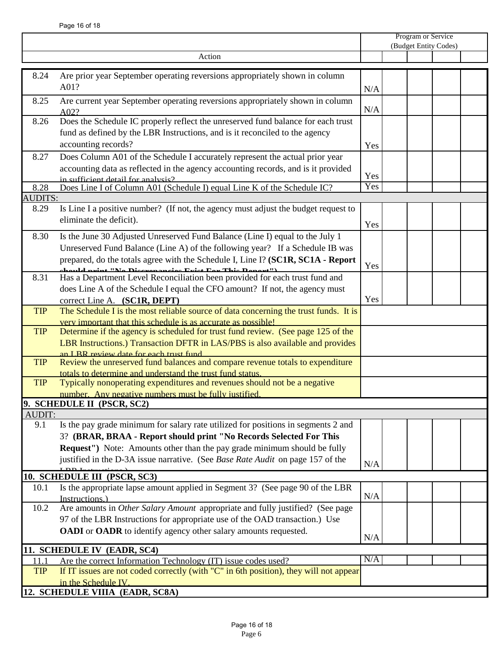|            |                                                                                                                                                                                                                                                                                                                       | Program or Service<br>(Budget Entity Codes) |  |  |  |  |
|------------|-----------------------------------------------------------------------------------------------------------------------------------------------------------------------------------------------------------------------------------------------------------------------------------------------------------------------|---------------------------------------------|--|--|--|--|
|            | Action                                                                                                                                                                                                                                                                                                                |                                             |  |  |  |  |
|            |                                                                                                                                                                                                                                                                                                                       |                                             |  |  |  |  |
| 8.24       | Are prior year September operating reversions appropriately shown in column<br>A01?                                                                                                                                                                                                                                   | N/A                                         |  |  |  |  |
| 8.25       | Are current year September operating reversions appropriately shown in column<br>A02?                                                                                                                                                                                                                                 | N/A                                         |  |  |  |  |
| 8.26       | Does the Schedule IC properly reflect the unreserved fund balance for each trust<br>fund as defined by the LBR Instructions, and is it reconciled to the agency<br>accounting records?                                                                                                                                | Yes                                         |  |  |  |  |
| 8.27       | Does Column A01 of the Schedule I accurately represent the actual prior year<br>accounting data as reflected in the agency accounting records, and is it provided<br>in sufficient detail for analysis?                                                                                                               | Yes                                         |  |  |  |  |
| 8.28       | Does Line I of Column A01 (Schedule I) equal Line K of the Schedule IC?                                                                                                                                                                                                                                               | Yes                                         |  |  |  |  |
| AUDITS:    |                                                                                                                                                                                                                                                                                                                       |                                             |  |  |  |  |
| 8.29       | Is Line I a positive number? (If not, the agency must adjust the budget request to<br>eliminate the deficit).                                                                                                                                                                                                         | Yes                                         |  |  |  |  |
| 8.30       | Is the June 30 Adjusted Unreserved Fund Balance (Line I) equal to the July 1<br>Unreserved Fund Balance (Line A) of the following year? If a Schedule IB was<br>prepared, do the totals agree with the Schedule I, Line I? (SC1R, SC1A - Report<br>chauld nuint "No Dicovananaige Friet Fax This Danaut")             | Yes                                         |  |  |  |  |
| 8.31       | Has a Department Level Reconciliation been provided for each trust fund and<br>does Line A of the Schedule I equal the CFO amount? If not, the agency must<br>correct Line A. (SC1R, DEPT)                                                                                                                            | Yes                                         |  |  |  |  |
| <b>TIP</b> | The Schedule I is the most reliable source of data concerning the trust funds. It is<br>very important that this schedule is as accurate as possible!                                                                                                                                                                 |                                             |  |  |  |  |
| <b>TIP</b> | Determine if the agency is scheduled for trust fund review. (See page 125 of the<br>LBR Instructions.) Transaction DFTR in LAS/PBS is also available and provides<br>an I BR review date for each trust fund                                                                                                          |                                             |  |  |  |  |
| <b>TIP</b> | Review the unreserved fund balances and compare revenue totals to expenditure<br>totals to determine and understand the trust fund status.                                                                                                                                                                            |                                             |  |  |  |  |
| <b>TIP</b> | Typically nonoperating expenditures and revenues should not be a negative<br>number. Any negative numbers must be fully justified.                                                                                                                                                                                    |                                             |  |  |  |  |
|            | 9. SCHEDULE II (PSCR, SC2)                                                                                                                                                                                                                                                                                            |                                             |  |  |  |  |
| AUDIT:     |                                                                                                                                                                                                                                                                                                                       |                                             |  |  |  |  |
| 9.1        | Is the pay grade minimum for salary rate utilized for positions in segments 2 and<br>3? (BRAR, BRAA - Report should print "No Records Selected For This<br>Request") Note: Amounts other than the pay grade minimum should be fully<br>justified in the D-3A issue narrative. (See Base Rate Audit on page 157 of the | N/A                                         |  |  |  |  |
|            | 10. SCHEDULE III (PSCR, SC3)                                                                                                                                                                                                                                                                                          |                                             |  |  |  |  |
| 10.1       | Is the appropriate lapse amount applied in Segment 3? (See page 90 of the LBR<br>Instructions.)                                                                                                                                                                                                                       | N/A                                         |  |  |  |  |
| 10.2       | Are amounts in Other Salary Amount appropriate and fully justified? (See page<br>97 of the LBR Instructions for appropriate use of the OAD transaction.) Use<br>OADI or OADR to identify agency other salary amounts requested.                                                                                       | N/A                                         |  |  |  |  |
|            | 11. SCHEDULE IV (EADR, SC4)                                                                                                                                                                                                                                                                                           |                                             |  |  |  |  |
| 11.1       | Are the correct Information Technology (IT) issue codes used?                                                                                                                                                                                                                                                         | N/A                                         |  |  |  |  |
| <b>TIP</b> | If IT issues are not coded correctly (with "C" in 6th position), they will not appear<br>in the Schedule IV.                                                                                                                                                                                                          |                                             |  |  |  |  |
|            | 12. SCHEDULE VIIIA (EADR, SC8A)                                                                                                                                                                                                                                                                                       |                                             |  |  |  |  |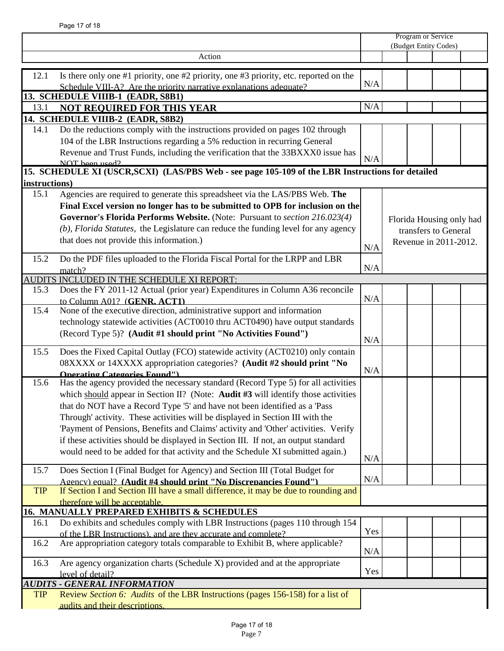|               |                                                                                                   | Program or Service<br>(Budget Entity Codes) |  |  |                          |  |
|---------------|---------------------------------------------------------------------------------------------------|---------------------------------------------|--|--|--------------------------|--|
|               |                                                                                                   |                                             |  |  |                          |  |
|               | Action                                                                                            |                                             |  |  |                          |  |
| 12.1          | Is there only one #1 priority, one #2 priority, one #3 priority, etc. reported on the             |                                             |  |  |                          |  |
|               | Schedule VIII-A? Are the priority narrative explanations adequate?                                | N/A                                         |  |  |                          |  |
|               | 13. SCHEDULE VIIIB-1 (EADR, S8B1)                                                                 |                                             |  |  |                          |  |
| 13.1          | <b>NOT REQUIRED FOR THIS YEAR</b>                                                                 | N/A                                         |  |  |                          |  |
|               | 14. SCHEDULE VIIIB-2 (EADR, S8B2)                                                                 |                                             |  |  |                          |  |
| 14.1          | Do the reductions comply with the instructions provided on pages 102 through                      |                                             |  |  |                          |  |
|               | 104 of the LBR Instructions regarding a 5% reduction in recurring General                         |                                             |  |  |                          |  |
|               | Revenue and Trust Funds, including the verification that the 33BXXX0 issue has                    |                                             |  |  |                          |  |
|               | $NOT$ been used?                                                                                  | N/A                                         |  |  |                          |  |
|               | 15. SCHEDULE XI (USCR, SCXI) (LAS/PBS Web - see page 105-109 of the LBR Instructions for detailed |                                             |  |  |                          |  |
| instructions) |                                                                                                   |                                             |  |  |                          |  |
| 15.1          | Agencies are required to generate this spreadsheet via the LAS/PBS Web. The                       |                                             |  |  |                          |  |
|               | Final Excel version no longer has to be submitted to OPB for inclusion on the                     |                                             |  |  |                          |  |
|               | Governor's Florida Performs Website. (Note: Pursuant to section 216.023(4)                        |                                             |  |  | Florida Housing only had |  |
|               | (b), Florida Statutes, the Legislature can reduce the funding level for any agency                |                                             |  |  | transfers to General     |  |
|               | that does not provide this information.)                                                          |                                             |  |  | Revenue in 2011-2012.    |  |
|               |                                                                                                   | N/A                                         |  |  |                          |  |
| 15.2          | Do the PDF files uploaded to the Florida Fiscal Portal for the LRPP and LBR                       | N/A                                         |  |  |                          |  |
|               | match?<br>AUDITS INCLUDED IN THE SCHEDULE XI REPORT:                                              |                                             |  |  |                          |  |
| 15.3          | Does the FY 2011-12 Actual (prior year) Expenditures in Column A36 reconcile                      |                                             |  |  |                          |  |
|               | to Column A01? (GENR. ACT1)                                                                       | N/A                                         |  |  |                          |  |
| 15.4          | None of the executive direction, administrative support and information                           |                                             |  |  |                          |  |
|               | technology statewide activities (ACT0010 thru ACT0490) have output standards                      |                                             |  |  |                          |  |
|               | (Record Type 5)? (Audit #1 should print "No Activities Found")                                    |                                             |  |  |                          |  |
|               |                                                                                                   | N/A                                         |  |  |                          |  |
| 15.5          | Does the Fixed Capital Outlay (FCO) statewide activity (ACT0210) only contain                     |                                             |  |  |                          |  |
|               | 08XXXX or 14XXXX appropriation categories? (Audit #2 should print "No                             | N/A                                         |  |  |                          |  |
|               | <b>Operating Categories Found")</b>                                                               |                                             |  |  |                          |  |
| 15.6          | Has the agency provided the necessary standard (Record Type 5) for all activities                 |                                             |  |  |                          |  |
|               | which should appear in Section II? (Note: Audit $#3$ will identify those activities               |                                             |  |  |                          |  |
|               | that do NOT have a Record Type '5' and have not been identified as a 'Pass                        |                                             |  |  |                          |  |
|               | Through' activity. These activities will be displayed in Section III with the                     |                                             |  |  |                          |  |
|               | 'Payment of Pensions, Benefits and Claims' activity and 'Other' activities. Verify                |                                             |  |  |                          |  |
|               | if these activities should be displayed in Section III. If not, an output standard                |                                             |  |  |                          |  |
|               | would need to be added for that activity and the Schedule XI submitted again.)                    | N/A                                         |  |  |                          |  |
| 15.7          | Does Section I (Final Budget for Agency) and Section III (Total Budget for                        |                                             |  |  |                          |  |
|               | Agency) equal? (Audit #4 should print "No Discrepancies Found")                                   | N/A                                         |  |  |                          |  |
| <b>TIP</b>    | If Section I and Section III have a small difference, it may be due to rounding and               |                                             |  |  |                          |  |
|               | therefore will be acceptable.                                                                     |                                             |  |  |                          |  |
|               | <b>16. MANUALLY PREPARED EXHIBITS &amp; SCHEDULES</b>                                             |                                             |  |  |                          |  |
| 16.1          | Do exhibits and schedules comply with LBR Instructions (pages 110 through 154                     |                                             |  |  |                          |  |
|               | of the LBR Instructions), and are they accurate and complete?                                     | Yes                                         |  |  |                          |  |
| 16.2          | Are appropriation category totals comparable to Exhibit B, where applicable?                      | N/A                                         |  |  |                          |  |
| 16.3          | Are agency organization charts (Schedule X) provided and at the appropriate                       |                                             |  |  |                          |  |
|               | level of detail?                                                                                  | Yes                                         |  |  |                          |  |
|               | <b>AUDITS - GENERAL INFORMATION</b>                                                               |                                             |  |  |                          |  |
| <b>TIP</b>    | Review Section 6: Audits of the LBR Instructions (pages 156-158) for a list of                    |                                             |  |  |                          |  |
|               | audits and their descriptions.                                                                    |                                             |  |  |                          |  |